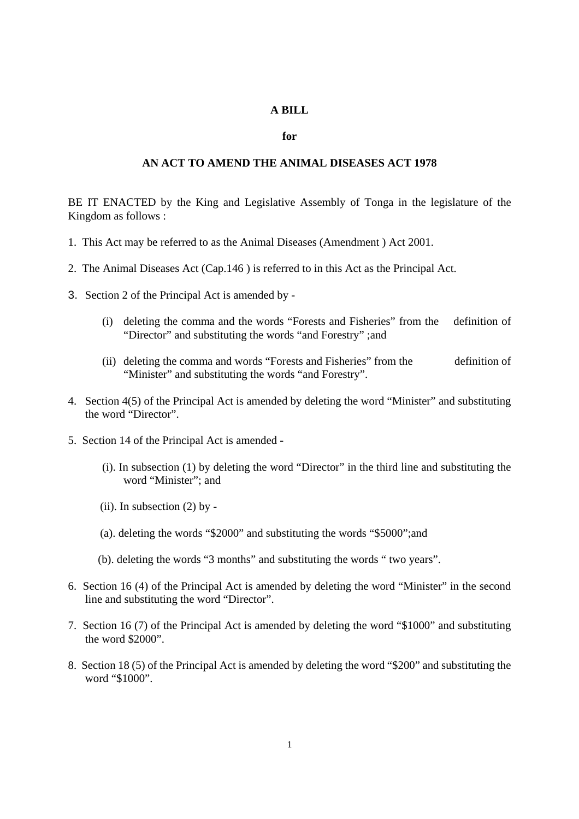## **A BILL**

## **for**

## **AN ACT TO AMEND THE ANIMAL DISEASES ACT 1978**

BE IT ENACTED by the King and Legislative Assembly of Tonga in the legislature of the Kingdom as follows :

- 1. This Act may be referred to as the Animal Diseases (Amendment ) Act 2001.
- 2. The Animal Diseases Act (Cap.146 ) is referred to in this Act as the Principal Act.
- 3. Section 2 of the Principal Act is amended by
	- (i) deleting the comma and the words "Forests and Fisheries" from the definition of "Director" and substituting the words "and Forestry" ;and
	- (ii) deleting the comma and words "Forests and Fisheries" from the definition of "Minister" and substituting the words "and Forestry".
- 4. Section 4(5) of the Principal Act is amended by deleting the word "Minister" and substituting the word "Director".
- 5. Section 14 of the Principal Act is amended
	- (i). In subsection (1) by deleting the word "Director" in the third line and substituting the word "Minister"; and
	- (ii). In subsection  $(2)$  by -
	- (a). deleting the words "\$2000" and substituting the words "\$5000";and
	- (b). deleting the words "3 months" and substituting the words " two years".
- 6. Section 16 (4) of the Principal Act is amended by deleting the word "Minister" in the second line and substituting the word "Director".
- 7. Section 16 (7) of the Principal Act is amended by deleting the word "\$1000" and substituting the word \$2000".
- 8. Section 18 (5) of the Principal Act is amended by deleting the word "\$200" and substituting the word "\$1000".